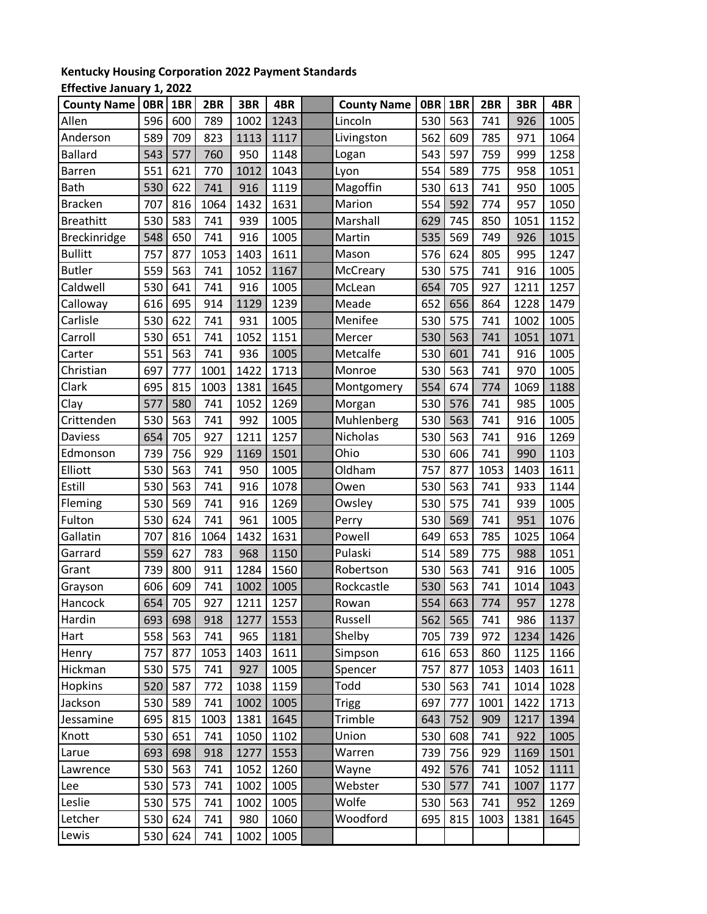## **Kentucky Housing Corporation 2022 Payment Standards**

## **Effective January 1, 2022**

| <b>County Name</b>  | 0BR | 1BR | 2BR  | 3BR  | 4BR  | <b>County Name</b> | <b>OBR</b> | 1BR | 2BR  | 3BR  | 4BR  |
|---------------------|-----|-----|------|------|------|--------------------|------------|-----|------|------|------|
| Allen               | 596 | 600 | 789  | 1002 | 1243 | Lincoln            | 530        | 563 | 741  | 926  | 1005 |
| Anderson            | 589 | 709 | 823  | 1113 | 1117 | Livingston         | 562        | 609 | 785  | 971  | 1064 |
| Ballard             | 543 | 577 | 760  | 950  | 1148 | Logan              | 543        | 597 | 759  | 999  | 1258 |
| Barren              | 551 | 621 | 770  | 1012 | 1043 | Lyon               | 554        | 589 | 775  | 958  | 1051 |
| Bath                | 530 | 622 | 741  | 916  | 1119 | Magoffin           | 530        | 613 | 741  | 950  | 1005 |
| <b>Bracken</b>      | 707 | 816 | 1064 | 1432 | 1631 | Marion             | 554        | 592 | 774  | 957  | 1050 |
| <b>Breathitt</b>    | 530 | 583 | 741  | 939  | 1005 | Marshall           | 629        | 745 | 850  | 1051 | 1152 |
| <b>Breckinridge</b> | 548 | 650 | 741  | 916  | 1005 | Martin             | 535        | 569 | 749  | 926  | 1015 |
| <b>Bullitt</b>      | 757 | 877 | 1053 | 1403 | 1611 | Mason              | 576        | 624 | 805  | 995  | 1247 |
| <b>Butler</b>       | 559 | 563 | 741  | 1052 | 1167 | McCreary           | 530        | 575 | 741  | 916  | 1005 |
| Caldwell            | 530 | 641 | 741  | 916  | 1005 | McLean             | 654        | 705 | 927  | 1211 | 1257 |
| Calloway            | 616 | 695 | 914  | 1129 | 1239 | Meade              | 652        | 656 | 864  | 1228 | 1479 |
| Carlisle            | 530 | 622 | 741  | 931  | 1005 | Menifee            | 530        | 575 | 741  | 1002 | 1005 |
| Carroll             | 530 | 651 | 741  | 1052 | 1151 | Mercer             | 530        | 563 | 741  | 1051 | 1071 |
| Carter              | 551 | 563 | 741  | 936  | 1005 | Metcalfe           | 530        | 601 | 741  | 916  | 1005 |
| Christian           | 697 | 777 | 1001 | 1422 | 1713 | Monroe             | 530        | 563 | 741  | 970  | 1005 |
| Clark               | 695 | 815 | 1003 | 1381 | 1645 | Montgomery         | 554        | 674 | 774  | 1069 | 1188 |
| Clay                | 577 | 580 | 741  | 1052 | 1269 | Morgan             | 530        | 576 | 741  | 985  | 1005 |
| Crittenden          | 530 | 563 | 741  | 992  | 1005 | Muhlenberg         | 530        | 563 | 741  | 916  | 1005 |
| Daviess             | 654 | 705 | 927  | 1211 | 1257 | Nicholas           | 530        | 563 | 741  | 916  | 1269 |
| Edmonson            | 739 | 756 | 929  | 1169 | 1501 | Ohio               | 530        | 606 | 741  | 990  | 1103 |
| Elliott             | 530 | 563 | 741  | 950  | 1005 | Oldham             | 757        | 877 | 1053 | 1403 | 1611 |
| Estill              | 530 | 563 | 741  | 916  | 1078 | Owen               | 530        | 563 | 741  | 933  | 1144 |
| Fleming             | 530 | 569 | 741  | 916  | 1269 | Owsley             | 530        | 575 | 741  | 939  | 1005 |
| Fulton              | 530 | 624 | 741  | 961  | 1005 | Perry              | 530        | 569 | 741  | 951  | 1076 |
| Gallatin            | 707 | 816 | 1064 | 1432 | 1631 | Powell             | 649        | 653 | 785  | 1025 | 1064 |
| Garrard             | 559 | 627 | 783  | 968  | 1150 | Pulaski            | 514        | 589 | 775  | 988  | 1051 |
| Grant               | 739 | 800 | 911  | 1284 | 1560 | Robertson          | 530        | 563 | 741  | 916  | 1005 |
| Grayson             | 606 | 609 | 741  | 1002 | 1005 | Rockcastle         | 530        | 563 | 741  | 1014 | 1043 |
| Hancock             | 654 | 705 | 927  | 1211 | 1257 | Rowan              | 554        | 663 | 774  | 957  | 1278 |
| Hardin              | 693 | 698 | 918  | 1277 | 1553 | Russell            | 562        | 565 | 741  | 986  | 1137 |
| Hart                | 558 | 563 | 741  | 965  | 1181 | Shelby             | 705        | 739 | 972  | 1234 | 1426 |
| Henry               | 757 | 877 | 1053 | 1403 | 1611 | Simpson            | 616        | 653 | 860  | 1125 | 1166 |
| Hickman             | 530 | 575 | 741  | 927  | 1005 | Spencer            | 757        | 877 | 1053 | 1403 | 1611 |
| <b>Hopkins</b>      | 520 | 587 | 772  | 1038 | 1159 | Todd               | 530        | 563 | 741  | 1014 | 1028 |
| Jackson             | 530 | 589 | 741  | 1002 | 1005 | Trigg              | 697        | 777 | 1001 | 1422 | 1713 |
| Jessamine           | 695 | 815 | 1003 | 1381 | 1645 | Trimble            | 643        | 752 | 909  | 1217 | 1394 |
| Knott               | 530 | 651 | 741  | 1050 | 1102 | Union              | 530        | 608 | 741  | 922  | 1005 |
| Larue               | 693 | 698 | 918  | 1277 | 1553 | Warren             | 739        | 756 | 929  | 1169 | 1501 |
| Lawrence            | 530 | 563 | 741  | 1052 | 1260 | Wayne              | 492        | 576 | 741  | 1052 | 1111 |
| Lee                 | 530 | 573 | 741  | 1002 | 1005 | Webster            | 530        | 577 | 741  | 1007 | 1177 |
| Leslie              | 530 | 575 | 741  | 1002 | 1005 | Wolfe              | 530        | 563 | 741  | 952  | 1269 |
| Letcher             | 530 | 624 | 741  | 980  | 1060 | Woodford           | 695        | 815 | 1003 | 1381 | 1645 |
| Lewis               | 530 | 624 | 741  | 1002 | 1005 |                    |            |     |      |      |      |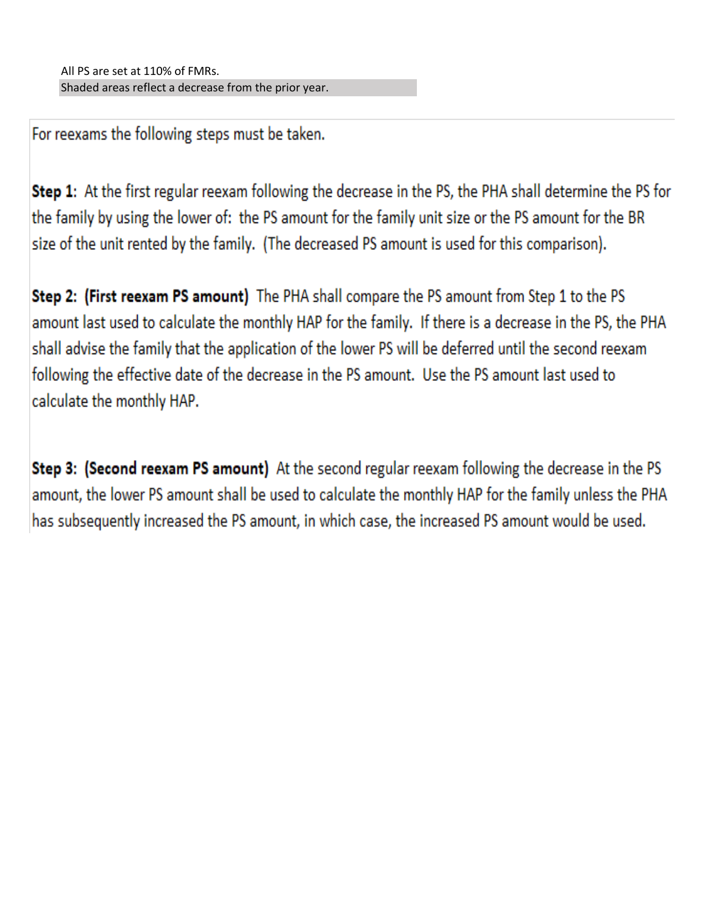For reexams the following steps must be taken.

Step 1: At the first regular reexam following the decrease in the PS, the PHA shall determine the PS for the family by using the lower of: the PS amount for the family unit size or the PS amount for the BR size of the unit rented by the family. (The decreased PS amount is used for this comparison).

Step 2: (First reexam PS amount) The PHA shall compare the PS amount from Step 1 to the PS amount last used to calculate the monthly HAP for the family. If there is a decrease in the PS, the PHA shall advise the family that the application of the lower PS will be deferred until the second reexam following the effective date of the decrease in the PS amount. Use the PS amount last used to calculate the monthly HAP.

Step 3: (Second reexam PS amount) At the second regular reexam following the decrease in the PS amount, the lower PS amount shall be used to calculate the monthly HAP for the family unless the PHA has subsequently increased the PS amount, in which case, the increased PS amount would be used.